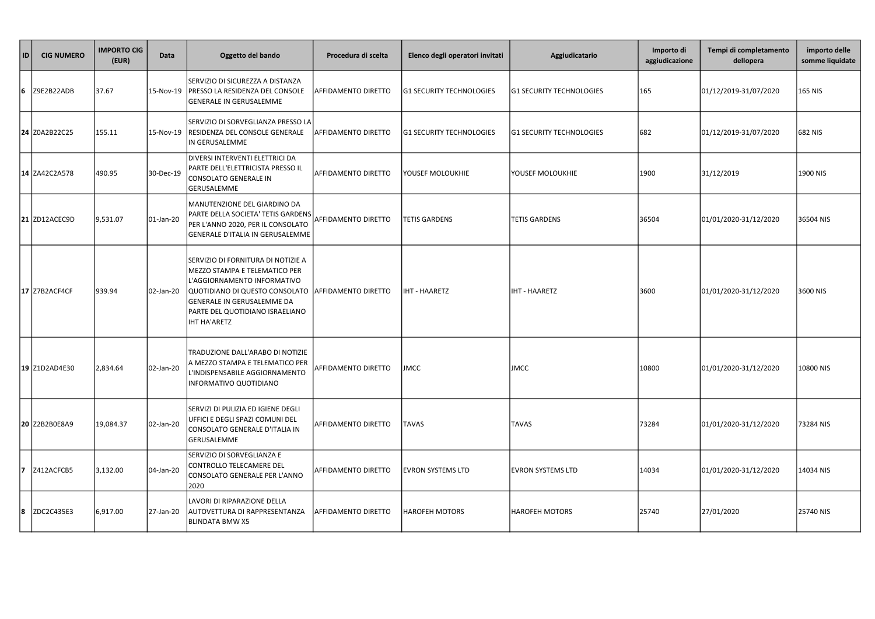| ID | <b>CIG NUMERO</b>    | <b>IMPORTO CIG</b><br>(EUR) | Data      | Oggetto del bando                                                                                                                                                                                                                                 | Procedura di scelta       | Elenco degli operatori invitati | Aggiudicatario                  | Importo di<br>aggiudicazione | Tempi di completamento<br>dellopera | importo delle<br>somme liquidate |
|----|----------------------|-----------------------------|-----------|---------------------------------------------------------------------------------------------------------------------------------------------------------------------------------------------------------------------------------------------------|---------------------------|---------------------------------|---------------------------------|------------------------------|-------------------------------------|----------------------------------|
| 6  | Z9E2B22ADB           | 37.67                       | 15-Nov-19 | SERVIZIO DI SICUREZZA A DISTANZA<br><b>PRESSO LA RESIDENZA DEL CONSOLE</b><br><b>GENERALE IN GERUSALEMME</b>                                                                                                                                      | AFFIDAMENTO DIRETTO       | <b>G1 SECURITY TECHNOLOGIES</b> | <b>G1 SECURITY TECHNOLOGIES</b> | 165                          | 01/12/2019-31/07/2020               | 165 NIS                          |
|    | 24 Z0A2B22C25        | 155.11                      | 15-Nov-19 | SERVIZIO DI SORVEGLIANZA PRESSO LA<br>RESIDENZA DEL CONSOLE GENERALE<br>IN GERUSALEMME                                                                                                                                                            | AFFIDAMENTO DIRETTO       | <b>G1 SECURITY TECHNOLOGIES</b> | <b>G1 SECURITY TECHNOLOGIES</b> | 682                          | 01/12/2019-31/07/2020               | 682 NIS                          |
|    | 14 ZA42C2A578        | 490.95                      | 30-Dec-19 | DIVERSI INTERVENTI ELETTRICI DA<br>PARTE DELL'ELETTRICISTA PRESSO IL<br>CONSOLATO GENERALE IN<br>GERUSALEMME                                                                                                                                      | AFFIDAMENTO DIRETTO       | YOUSEF MOLOUKHIE                | <b>YOUSEF MOLOUKHIE</b>         | 1900                         | 31/12/2019                          | 1900 NIS                         |
|    | <b>21 ZD12ACEC9D</b> | 9,531.07                    | 01-Jan-20 | MANUTENZIONE DEL GIARDINO DA<br>PARTE DELLA SOCIETA' TETIS GARDENS<br>PER L'ANNO 2020, PER IL CONSOLATO<br>GENERALE D'ITALIA IN GERUSALEMME                                                                                                       | AFFIDAMENTO DIRETTO       | <b>TETIS GARDENS</b>            | <b>TETIS GARDENS</b>            | 36504                        | 01/01/2020-31/12/2020               | 36504 NIS                        |
|    | 17 Z7B2ACF4CF        | 939.94                      | 02-Jan-20 | SERVIZIO DI FORNITURA DI NOTIZIE A<br>MEZZO STAMPA E TELEMATICO PER<br>L'AGGIORNAMENTO INFORMATIVO<br>QUOTIDIANO DI QUESTO CONSOLATO  AFFIDAMENTO DIRETTO<br><b>GENERALE IN GERUSALEMME DA</b><br>PARTE DEL QUOTIDIANO ISRAELIANO<br>IHT HA'ARETZ |                           | <b>IHT - HAARETZ</b>            | <b>IHT - HAARETZ</b>            | 3600                         | 01/01/2020-31/12/2020               | 3600 NIS                         |
|    | 19 Z1D2AD4E30        | 2,834.64                    | 02-Jan-20 | TRADUZIONE DALL'ARABO DI NOTIZIE<br>A MEZZO STAMPA E TELEMATICO PER<br>'INDISPENSABILE AGGIORNAMENTO<br>INFORMATIVO QUOTIDIANO                                                                                                                    | AFFIDAMENTO DIRETTO JIMCC |                                 | <b>JMCC</b>                     | 10800                        | 01/01/2020-31/12/2020               | 10800 NIS                        |
|    | 20 Z2B2B0E8A9        | 19,084.37                   | 02-Jan-20 | SERVIZI DI PULIZIA ED IGIENE DEGLI<br>UFFICI E DEGLI SPAZI COMUNI DEL<br>CONSOLATO GENERALE D'ITALIA IN<br>GERUSALEMME                                                                                                                            | AFFIDAMENTO DIRETTO       | <b>TAVAS</b>                    | <b>TAVAS</b>                    | 73284                        | 01/01/2020-31/12/2020               | 73284 NIS                        |
| 17 | Z412ACFCB5           | 3,132.00                    | 04-Jan-20 | SERVIZIO DI SORVEGLIANZA E<br>CONTROLLO TELECAMERE DEL<br>CONSOLATO GENERALE PER L'ANNO<br>2020                                                                                                                                                   | AFFIDAMENTO DIRETTO       | <b>EVRON SYSTEMS LTD</b>        | <b>EVRON SYSTEMS LTD</b>        | 14034                        | 01/01/2020-31/12/2020               | 14034 NIS                        |
| 8  | ZDC2C435E3           | 6,917.00                    | 27-Jan-20 | LAVORI DI RIPARAZIONE DELLA<br>AUTOVETTURA DI RAPPRESENTANZA<br><b>BLINDATA BMW X5</b>                                                                                                                                                            | AFFIDAMENTO DIRETTO       | <b>HAROFEH MOTORS</b>           | <b>HAROFEH MOTORS</b>           | 25740                        | 27/01/2020                          | 25740 NIS                        |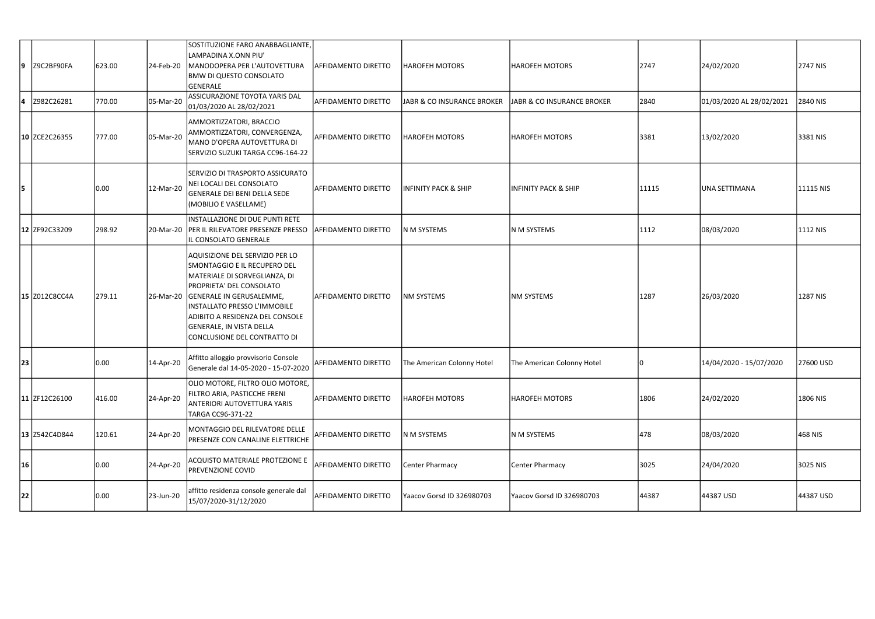| 19        | Z9C2BF90FA           | 623.00 | 24-Feb-20 | SOSTITUZIONE FARO ANABBAGLIANTE,<br>LAMPADINA X.ONN PIU'<br>MANODOPERA PER L'AUTOVETTURA<br><b>BMW DI QUESTO CONSOLATO</b><br><b>GENERALE</b>                                                                                                                                                            | AFFIDAMENTO DIRETTO        | HAROFEH MOTORS                  | <b>HAROFEH MOTORS</b>           | 2747  | 24/02/2020               | 2747 NIS  |
|-----------|----------------------|--------|-----------|----------------------------------------------------------------------------------------------------------------------------------------------------------------------------------------------------------------------------------------------------------------------------------------------------------|----------------------------|---------------------------------|---------------------------------|-------|--------------------------|-----------|
| 14        | Z982C26281           | 770.00 | 05-Mar-20 | ASSICURAZIONE TOYOTA YARIS DAL<br>01/03/2020 AL 28/02/2021                                                                                                                                                                                                                                               | AFFIDAMENTO DIRETTO        | JABR & CO INSURANCE BROKER      | JABR & CO INSURANCE BROKER      | 2840  | 01/03/2020 AL 28/02/2021 | 2840 NIS  |
|           | 10 ZCE2C26355        | 777.00 | 05-Mar-20 | AMMORTIZZATORI, BRACCIO<br>AMMORTIZZATORI, CONVERGENZA,<br>MANO D'OPERA AUTOVETTURA DI<br>SERVIZIO SUZUKI TARGA CC96-164-22                                                                                                                                                                              | AFFIDAMENTO DIRETTO        | <b>HAROFEH MOTORS</b>           | <b>HAROFEH MOTORS</b>           | 3381  | 13/02/2020               | 3381 NIS  |
| 5         |                      | 0.00   | 12-Mar-20 | SERVIZIO DI TRASPORTO ASSICURATO<br>NEI LOCALI DEL CONSOLATO<br>GENERALE DEI BENI DELLA SEDE<br>(MOBILIO E VASELLAME)                                                                                                                                                                                    | AFFIDAMENTO DIRETTO        | <b>INFINITY PACK &amp; SHIP</b> | <b>INFINITY PACK &amp; SHIP</b> | 11115 | <b>UNA SETTIMANA</b>     | 11115 NIS |
|           | 12 ZF92C33209        | 298.92 |           | INSTALLAZIONE DI DUE PUNTI RETE<br>20-Mar-20 PER IL RILEVATORE PRESENZE PRESSO<br>L CONSOLATO GENERALE                                                                                                                                                                                                   | <b>AFFIDAMENTO DIRETTO</b> | N M SYSTEMS                     | N M SYSTEMS                     | 1112  | 08/03/2020               | 1112 NIS  |
|           | 15 Z012C8CC4A        | 279.11 |           | AQUISIZIONE DEL SERVIZIO PER LO<br>SMONTAGGIO E IL RECUPERO DEL<br>MATERIALE DI SORVEGLIANZA, DI<br>PROPRIETA' DEL CONSOLATO<br>26-Mar-20 GENERALE IN GERUSALEMME,<br>INSTALLATO PRESSO L'IMMOBILE<br>ADIBITO A RESIDENZA DEL CONSOLE<br><b>GENERALE, IN VISTA DELLA</b><br>CONCLUSIONE DEL CONTRATTO DI | <b>AFFIDAMENTO DIRETTO</b> | <b>NM SYSTEMS</b>               | <b>NM SYSTEMS</b>               | 1287  | 26/03/2020               | 1287 NIS  |
| <b>23</b> |                      | 0.00   | 14-Apr-20 | Affitto alloggio provvisorio Console<br>Generale dal 14-05-2020 - 15-07-2020 AFFIDAMENTO DIRETTO                                                                                                                                                                                                         |                            | The American Colonny Hotel      | The American Colonny Hotel      |       | 14/04/2020 - 15/07/2020  | 27600 USD |
|           | 11 ZF12C26100        | 416.00 | 24-Apr-20 | OLIO MOTORE, FILTRO OLIO MOTORE,<br>FILTRO ARIA, PASTICCHE FRENI<br><b>ANTERIORI AUTOVETTURA YARIS</b><br>TARGA CC96-371-22                                                                                                                                                                              | AFFIDAMENTO DIRETTO        | <b>HAROFEH MOTORS</b>           | <b>HAROFEH MOTORS</b>           | 1806  | 24/02/2020               | 1806 NIS  |
|           | <b>13 Z542C4D844</b> | 120.61 | 24-Apr-20 | MONTAGGIO DEL RILEVATORE DELLE<br><b>PRESENZE CON CANALINE ELETTRICHE</b>                                                                                                                                                                                                                                | AFFIDAMENTO DIRETTO        | N M SYSTEMS                     | N M SYSTEMS                     | 478   | 08/03/2020               | 468 NIS   |
| 16        |                      | 0.00   | 24-Apr-20 | ACQUISTO MATERIALE PROTEZIONE E<br><b>PREVENZIONE COVID</b>                                                                                                                                                                                                                                              | <b>AFFIDAMENTO DIRETTO</b> | Center Pharmacy                 | Center Pharmacy                 | 3025  | 24/04/2020               | 3025 NIS  |
| 22        |                      | 0.00   | 23-Jun-20 | affitto residenza console generale dal<br>15/07/2020-31/12/2020                                                                                                                                                                                                                                          | AFFIDAMENTO DIRETTO        | Yaacov Gorsd ID 326980703       | Yaacov Gorsd ID 326980703       | 44387 | 44387 USD                | 44387 USD |